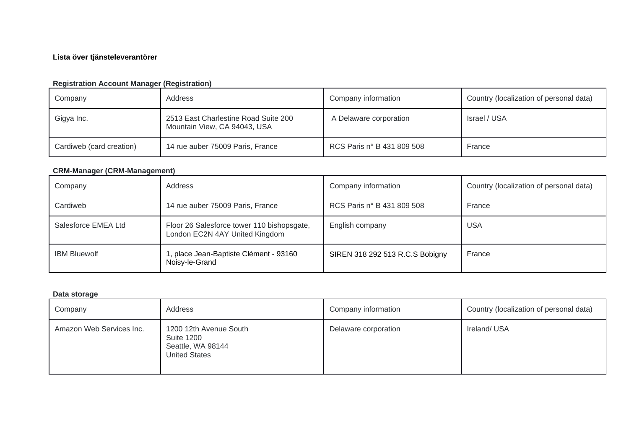# **Lista över tjänsteleverantörer**

# **Registration Account Manager (Registration)**

| Company                  | Address                                                              | Company information        | Country (localization of personal data) |
|--------------------------|----------------------------------------------------------------------|----------------------------|-----------------------------------------|
| Gigya Inc.               | 2513 East Charlestine Road Suite 200<br>Mountain View, CA 94043, USA | A Delaware corporation     | Israel / USA                            |
| Cardiweb (card creation) | 14 rue auber 75009 Paris, France                                     | RCS Paris n° B 431 809 508 | France                                  |

## **CRM-Manager (CRM-Management)**

| Company             | Address                                                                      | Company information             | Country (localization of personal data) |
|---------------------|------------------------------------------------------------------------------|---------------------------------|-----------------------------------------|
| Cardiweb            | 14 rue auber 75009 Paris, France                                             | RCS Paris n° B 431 809 508      | France                                  |
| Salesforce EMEA Ltd | Floor 26 Salesforce tower 110 bishopsgate,<br>London EC2N 4AY United Kingdom | English company                 | USA                                     |
| <b>IBM Bluewolf</b> | 1, place Jean-Baptiste Clément - 93160<br>Noisy-le-Grand                     | SIREN 318 292 513 R.C.S Bobigny | France                                  |

## **Data storage**

| Company                  | Address                                                                                  | Company information  | Country (localization of personal data) |
|--------------------------|------------------------------------------------------------------------------------------|----------------------|-----------------------------------------|
| Amazon Web Services Inc. | 1200 12th Avenue South<br><b>Suite 1200</b><br>Seattle, WA 98144<br><b>United States</b> | Delaware corporation | Ireland/USA                             |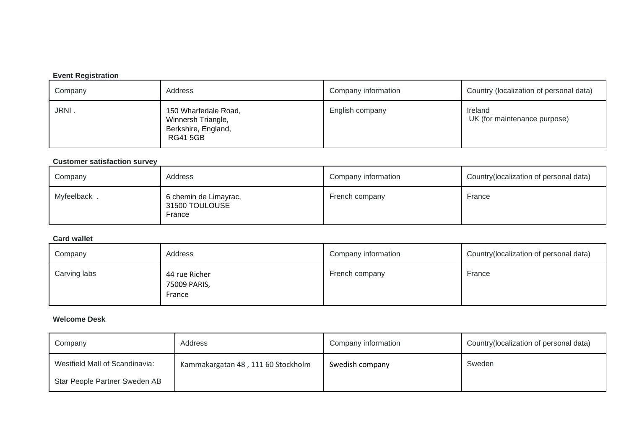## **Event Registration**

| Company | Address                                                                             | Company information | Country (localization of personal data) |
|---------|-------------------------------------------------------------------------------------|---------------------|-----------------------------------------|
| JRNI.   | 150 Wharfedale Road,<br>Winnersh Triangle,<br>Berkshire, England,<br><b>RG415GB</b> | English company     | Ireland<br>UK (for maintenance purpose) |

#### **Customer satisfaction survey**

| Company     | Address                                           | Company information | Country (localization of personal data) |
|-------------|---------------------------------------------------|---------------------|-----------------------------------------|
| Myfeelback, | 6 chemin de Limayrac,<br>31500 TOULOUSE<br>France | French company      | France                                  |

#### **Card wallet**

| Company      | Address                                 | Company information | Country(localization of personal data) |
|--------------|-----------------------------------------|---------------------|----------------------------------------|
| Carving labs | 44 rue Richer<br>75009 PARIS,<br>France | French company      | France                                 |

## **Welcome Desk**

| Company                        | Address                            | Company information | Country (localization of personal data) |
|--------------------------------|------------------------------------|---------------------|-----------------------------------------|
| Westfield Mall of Scandinavia: | Kammakargatan 48, 111 60 Stockholm | Swedish company     | Sweden                                  |
| Star People Partner Sweden AB  |                                    |                     |                                         |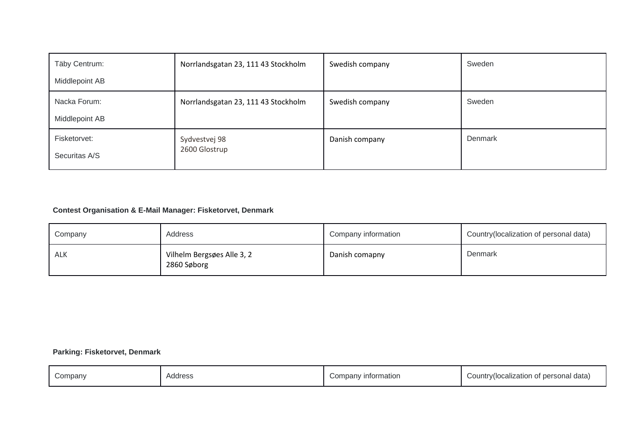| Täby Centrum:<br>Middlepoint AB | Norrlandsgatan 23, 111 43 Stockholm | Swedish company | Sweden  |
|---------------------------------|-------------------------------------|-----------------|---------|
| Nacka Forum:<br>Middlepoint AB  | Norrlandsgatan 23, 111 43 Stockholm | Swedish company | Sweden  |
| Fisketorvet:<br>Securitas A/S   | Sydvestvej 98<br>2600 Glostrup      | Danish company  | Denmark |

# **Contest Organisation & E-Mail Manager: Fisketorvet, Denmark**

| Company | Address                                   | Company information | Country (localization of personal data) |
|---------|-------------------------------------------|---------------------|-----------------------------------------|
| ALK     | Vilhelm Bergsøes Alle 3, 2<br>2860 Søborg | Danish comapny      | Denmark                                 |

# **Parking: Fisketorvet, Denmark**

| Company | Address | ' information<br>Company | Country(localization of personal data) |
|---------|---------|--------------------------|----------------------------------------|
|---------|---------|--------------------------|----------------------------------------|